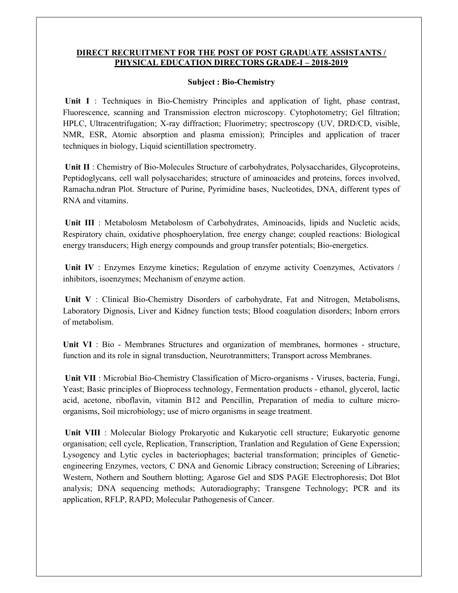## DIRECT RECRUITMENT FOR THE POST OF POST GRADUATE ASSISTANTS / PHYSICAL EDUCATION DIRECTORS GRADE-I – 2018-2019

## Subject : Bio-Chemistry

Unit I : Techniques in Bio-Chemistry Principles and application of light, phase contrast, Fluorescence, scanning and Transmission electron microscopy. Cytophotometry; Gel filtration; HPLC, Ultracentrifugation; X-ray diffraction; Fluorimetry; spectroscopy (UV, DRD/CD, visible, NMR, ESR, Atomic absorption and plasma emission); Principles and application of tracer techniques in biology, Liquid scientillation spectrometry.

Unit II : Chemistry of Bio-Molecules Structure of carbohydrates, Polysaccharides, Glycoproteins, Peptidoglycans, cell wall polysaccharides; structure of aminoacides and proteins, forces involved, Ramacha.ndran Plot. Structure of Purine, Pyrimidine bases, Nucleotides, DNA, different types of RNA and vitamins.

Unit III : Metabolosm Metabolosm of Carbohydrates, Aminoacids, lipids and Nucletic acids, Respiratory chain, oxidative phosphoerylation, free energy change; coupled reactions: Biological energy transducers; High energy compounds and group transfer potentials; Bio-energetics.

Unit IV : Enzymes Enzyme kinetics; Regulation of enzyme activity Coenzymes, Activators / inhibitors, isoenzymes; Mechanism of enzyme action.

Unit V : Clinical Bio-Chemistry Disorders of carbohydrate, Fat and Nitrogen, Metabolisms, Laboratory Dignosis, Liver and Kidney function tests; Blood coagulation disorders; Inborn errors of metabolism.

Unit VI : Bio - Membranes Structures and organization of membranes, hormones - structure, function and its role in signal transduction, Neurotranmitters; Transport across Membranes.

 Unit VII : Microbial Bio-Chemistry Classification of Micro-organisms - Viruses, bacteria, Fungi, Yeast; Basic principles of Bioprocess technology, Fermentation products - ethanol, glycerol, lactic acid, acetone, riboflavin, vitamin B12 and Pencillin, Preparation of media to culture microorganisms, Soil microbiology; use of micro organisms in seage treatment.

 Unit VIII : Molecular Biology Prokaryotic and Kukaryotic cell structure; Eukaryotic genome organisation; cell cycle, Replication, Transcription, Tranlation and Regulation of Gene Experssion; Lysogency and Lytic cycles in bacteriophages; bacterial transformation; principles of Geneticengineering Enzymes, vectors, C DNA and Genomic Libracy construction; Screening of Libraries; Western, Nothern and Southern blotting; Agarose Gel and SDS PAGE Electrophoresis; Dot Blot analysis; DNA sequencing methods; Autoradiography; Transgene Technology; PCR and its application, RFLP, RAPD; Molecular Pathogenesis of Cancer.